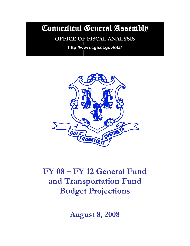Connecticut General Assembly

# **OFFICE OF FISCAL ANALYSIS**

**http://www.cga.ct.gov/ofa/** 



# **FY 08 – FY 12 General Fund and Transportation Fund Budget Projections**

**August 8, 2008**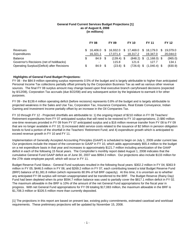#### **General Fund Current Services Budget Projections [1] as of August 8, 2008 (in millions)**

|                                             | <b>FY 08</b> |    | <b>FY 09</b> |    | <b>FY 10</b> |      | <b>FY 11</b>    |    | <b>FY 12</b> |
|---------------------------------------------|--------------|----|--------------|----|--------------|------|-----------------|----|--------------|
| Revenues                                    | \$16.406.0   | S. | 16.932.0     | S. | 17,469.0     |      | \$18,179.0      | -S | 19.079.0     |
| Expenditures                                | 16.321.1     |    | 17.071.4     |    | 18.317.2     |      | 19.347.0        |    | 20,044.0     |
| <b>Balance</b>                              | 84.9 \$      |    | $(139.4)$ \$ |    | $(848.2)$ \$ |      | $(1, 168.0)$ \$ |    | (965.0)      |
| Governor's Recisions (net of holdbacks)     | -            |    | 115.8        |    | 121.6        |      | 127.7           |    | 134.1        |
| Operating Surplus/(Deficit) after Recisions | 84.9 \$      |    | $(23.6)$ \$  |    | (726.6)      | - \$ | $(1,040.4)$ \$  |    | (830.9)      |

#### **Highlights of General Fund Budget Projections:**

FY 08 - the \$84.9 million operating surplus represents 0.5% of the budget and is largely attributable to higher than anticipated Personal Income Tax collections partially offset primarily by the Corporation Business Tax as well as various other revenue sources. The final FY 08 surplus amount may change based upon final executive branch carryforward decisions (expected by 8/12/08), Corporation Tax accruals (due 8/22/08) and any subsequent action by the legislature to earmark it for other purposes.

FY 09 - the \$139.4 million operating deficit (before recisions) represents 0.8% of the budget and is largely attributable to projected weakness in the Sales and Use Tax, Corporation Tax, Insurance Companies, Real Estate Conveyance, Indian Gaming and Investment Income partially offset by an increase in the Oil Companies Tax.

FY 10 through FY 12 - Projected shortfalls are attributable to: 1) the ongoing impact of \$210 million in FY 09 Teachers' Retirement expenditures from FY 07 anticipated surplus that will need to be restored to FY 10 appropriations; 2) \$80 million one-time revenues provided in FY 09 from FY 07 anticipated surplus and a \$16 million revenue transfer from FY 08 to FY 09 that are no longer available in FY 10; 3) increased debt service costs related to the issuance of \$2 billion in pension obligation bonds to fund a portion of the shortfall in the Teachers' Retirement Fund; and 4) expenditure growth which is anticipated to exceed revenue growth in FY 10 and FY 11.

Implementation of Generally Accepted Accounting Principles (GAAP) is scheduled to begin on July 1, 2009 under current law. Our projections include the impact of the conversion to GAAP in FY 10, which adds approximately \$55.4 million to the budget on a net expenditure basis in that year and increases to approximately \$121.7 million including amortization of the GAAP deficit in each of the following 15 fiscal years. The Comptroller's monthly report dated August 1, 2008 indicates that the cumulative General Fund GAAP deficit as of June 30, 2007 was \$994.3 million. Our projections also include \$133 million for the 27th state employee payroll, which will occur in FY 11.

Budget Reserve Fund Status - General Fund surpluses resulted in the following fiscal years: \$302.2 million in FY 04; \$363.9 million in FY 05; \$446.5 million in FY 06; and \$269.2 million in FY 07, each contributing toward a total Budget Reserve Fund (BRF) balance of \$1,381.8 million (which represents 80.9% of full BRF capacity). At this time, it is uncertain as to whether any anticipated FY 08 surplus will remain unappropriated and be transferred to the BRF. The Budget Reserve (Rainy Day) Fund had been depleted when its prior \$594.7 million balance was used to partially cover the \$817.1 million deficit in FY 02. The maximum allowable in the BRF is 10% of the amount of the net General Fund appropriations for the fiscal year in progress. With net General Fund appropriations for FY 09 totaling \$17,083 million, the maximum allowable in the BRF is \$1,708.3 million or \$326.5 million more than currently deposited.

[1] The projections in this report are based on present law, existing policy commitments, estimated caseload and workload requirements. These preliminary projections will be updated by November 15, 2008.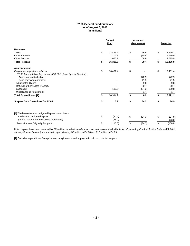#### **FY 08 General Fund Summary as of August 8, 2008 (in millions)**

|                                                                  |    | <b>Budget</b><br>Plan |    | <b>Increases</b><br>(Decreases) |    | Projected |  |
|------------------------------------------------------------------|----|-----------------------|----|---------------------------------|----|-----------|--|
| <b>Revenues</b>                                                  |    |                       |    |                                 |    |           |  |
| Taxes                                                            | \$ | 12,453.2              | \$ | 66.9                            | \$ | 12,520.1  |  |
| Other Revenue                                                    |    | 1,206.3               |    | (35.4)                          |    | 1,170.9   |  |
| <b>Other Sources</b>                                             |    | 2,656.1               |    | 58.9                            |    | 2,715.0   |  |
| <b>Total Revenue</b>                                             | \$ | 16,315.6              | \$ | 90.4                            | \$ | 16,406.0  |  |
| <b>Appropriations</b>                                            |    |                       |    |                                 |    |           |  |
| Original Appropriations - Gross                                  | \$ | 16,431.4              | \$ |                                 | \$ | 16,431.4  |  |
| FY 08 Appropriation Adjustments (SA 08-1, June Special Session): |    |                       |    |                                 |    |           |  |
| <b>Appropriation Reductions</b>                                  |    |                       |    | (42.9)                          |    | (42.9)    |  |
| Deficiency Appropriations                                        |    |                       |    | 41.5                            |    | 41.5      |  |
| <b>Adjudicated Claims</b>                                        |    |                       |    | 9.8                             |    | 9.8       |  |
| Refunds of Escheated Property                                    |    |                       |    | 30.7                            |    | 30.7      |  |
| Lapses [1]                                                       |    | (116.5)               |    | (34.3)                          |    | (150.8)   |  |
| Miscellaneous Adjustment                                         |    |                       |    | 1.4                             |    | 1.4       |  |
| <b>Total Expenditures [2]</b>                                    | \$ | 16,314.9              | \$ | 6.2                             | \$ | 16,321.1  |  |
| Surplus from Operations for FY 08                                | \$ | 0.7                   | \$ | 84.2                            | \$ | 84.9      |  |
| [1] The breakdown for budgeted lapses is as follows:             |    |                       |    |                                 |    |           |  |
| unallocated budgeted lapses                                      | \$ | (90.5)                | \$ | (34.3)                          | \$ | (124.8)   |  |
| general PS and OE reductions (holdbacks)                         |    | (26.0)                |    |                                 |    | (26.0)    |  |
| Total - Lapses Originally Budgeted                               | \$ | (116.5)               | \$ | (34.3)                          | \$ | (150.8)   |  |

Note: Lapses have been reduced by \$19 million to reflect transfers to cover costs associated with An Act Concerning Criminal Justice Reform (PA 08-1, January Special Session) amounting to approximately \$2 million in FY 08 and \$17 million in FY 09.

[2] Excludes expenditures from prior year carryforwards and appropriations from projected surplus.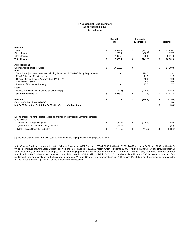#### **FY 09 General Fund Summary as of August 8, 2008 (in millions)**

|                                                                                                       | <b>Budget</b><br>Plan | <b>Increases</b><br>(Decreases) | Projected      |
|-------------------------------------------------------------------------------------------------------|-----------------------|---------------------------------|----------------|
| <b>Revenues</b>                                                                                       |                       |                                 |                |
| <b>Taxes</b>                                                                                          | \$<br>12.971.1        | \$<br>(151.0)                   | \$<br>12,820.1 |
| Other Revenue                                                                                         | 1.208.4               | (10.7)                          | 1,197.7        |
| <b>Other Sources</b>                                                                                  | 2,893.6               | 20.6                            | 2,914.2        |
| <b>Total Revenue</b>                                                                                  | \$<br>17,073.1        | \$<br>(141.1)                   | \$<br>16,932.0 |
| <b>Appropriations</b>                                                                                 |                       |                                 |                |
| <b>Original Appropriations - Gross</b>                                                                | \$<br>17,190.5        | \$                              | \$<br>17,190.5 |
| Plus:                                                                                                 |                       |                                 |                |
| Technical Adjustment Increases including Roll-Out of FY 08 Deficiency Requirements                    |                       | 199.3                           | 199.3          |
| FY 09 Deficiency Requirements                                                                         |                       | 21.5                            | 21.5           |
| Criminal Justice System Appropriation (PA 08-51)                                                      |                       | 10.0                            | 10.0           |
| <b>Adjudicated Claims</b>                                                                             |                       | 10.6                            | 10.6           |
| Refunds of Escheated Property                                                                         |                       | 27.5                            | 27.5           |
| Less:                                                                                                 |                       |                                 |                |
| Lapses and Technical Adjustment Decreases [1]                                                         | (117.5)               | (270.5)                         | (388.0)        |
| <b>Total Expenditures [2]</b>                                                                         | \$<br>17,073.0        | \$<br>(1.6)                     | \$<br>17,071.4 |
| <b>Balance</b>                                                                                        | \$<br>0.1             | \$<br>(139.5)                   | \$<br>(139.4)  |
| Governor's Recisions (6/24/08)                                                                        |                       |                                 | 115.8          |
| Net FY 09 Operating Deficit for FY 09 after Governor's Recisions                                      |                       |                                 | \$<br>(23.6)   |
| [1] The breakdown for budgeted lapses as affected by technical adjustment decreases<br>is as follows: |                       |                                 |                |
| unallocated budgeted lapses                                                                           | \$<br>(92.5)          | \$<br>(270.5)                   | \$<br>(363.0)  |
| general PS and OE reductions (holdbacks)                                                              | (25.0)                |                                 | (25.0)         |
| Total - Lapses Originally Budgeted                                                                    | \$<br>(117.5)         | \$<br>(270.5)                   | \$<br>(388.0)  |

[2] Excludes expenditures from prior year carryforwards and appropriations from projected surplus.

Note: General Fund surpluses resulted in the following fiscal years: \$302.2 million in FY 04; \$363.9 million in FY 05; \$446.5 million in FY 06; and \$269.2 million in FY 07, each contributing toward a total Budget Reserve Fund (BRF) balance of \$1,381.8 million (which represents 80.9% of full BRF capacity). At this time, it is uncertain as to whether any anticipated FY 08 surplus will remain unappropriated and be transferred to the BRF. The Budget Reserve (Rainy Day) Fund had been depleted when its prior \$594.7 million balance was used to partially cover the \$817.1 million deficit in FY 02. The maximum allowable in the BRF is 10% of the amount of the net General Fund appropriations for the fiscal year in progress. With net General Fund appropriations for FY 09 totaling \$17,083 million, the maximum allowable in the BRF is \$1,708.3 million or \$326.5 million more than currently deposited.